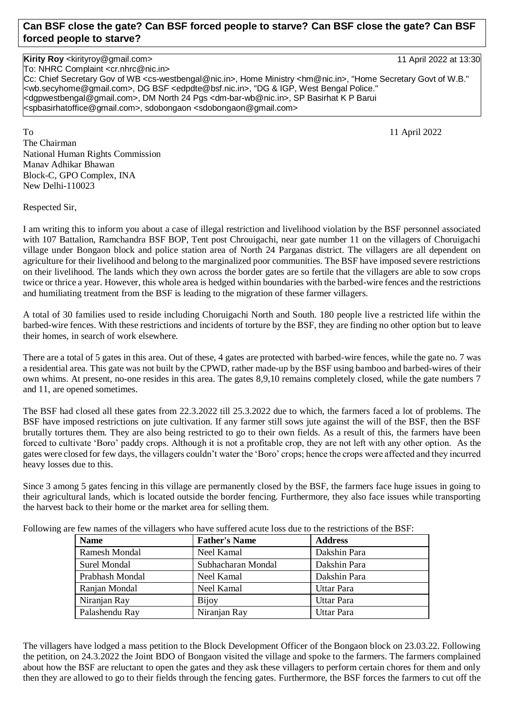## **Can BSF close the gate? Can BSF forced people to starve? Can BSF close the gate? Can BSF forced people to starve?**

## **Kirity Roy** <kirityroy@gmail.com> 11 April 2022 at 13:30

To: NHRC Complaint <cr.nhrc@nic.in> Cc: Chief Secretary Gov of WB <cs-westbengal@nic.in>, Home Ministry <hm@nic.in>, "Home Secretary Govt of W.B." <wb.secyhome@gmail.com>, DG BSF <edpdte@bsf.nic.in>, "DG & IGP, West Bengal Police." <dgpwestbengal@gmail.com>, DM North 24 Pgs <dm-bar-wb@nic.in>, SP Basirhat K P Barui <spbasirhatoffice@gmail.com>, sdobongaon <sdobongaon@gmail.com>

To a state of the state of the state of the state of the state of the state of the state of the state of the state of the state of the state of the state of the state of the state of the state of the state of the state of The Chairman National Human Rights Commission Manav Adhikar Bhawan Block-C, GPO Complex, INA New Delhi-110023

Respected Sir,

I am writing this to inform you about a case of illegal restriction and livelihood violation by the BSF personnel associated with 107 Battalion, Ramchandra BSF BOP, Tent post Chrouigachi, near gate number 11 on the villagers of Choruigachi village under Bongaon block and police station area of North 24 Parganas district. The villagers are all dependent on agriculture for their livelihood and belong to the marginalized poor communities. The BSF have imposed severe restrictions on their livelihood. The lands which they own across the border gates are so fertile that the villagers are able to sow crops twice or thrice a year. However, this whole area is hedged within boundaries with the barbed-wire fences and the restrictions and humiliating treatment from the BSF is leading to the migration of these farmer villagers.

A total of 30 families used to reside including Choruigachi North and South. 180 people live a restricted life within the barbed-wire fences. With these restrictions and incidents of torture by the BSF, they are finding no other option but to leave their homes, in search of work elsewhere.

There are a total of 5 gates in this area. Out of these, 4 gates are protected with barbed-wire fences, while the gate no. 7 was a residential area. This gate was not built by the CPWD, rather made-up by the BSF using bamboo and barbed-wires of their own whims. At present, no-one resides in this area. The gates 8,9,10 remains completely closed, while the gate numbers 7 and 11, are opened sometimes.

The BSF had closed all these gates from 22.3.2022 till 25.3.2022 due to which, the farmers faced a lot of problems. The BSF have imposed restrictions on jute cultivation. If any farmer still sows jute against the will of the BSF, then the BSF brutally tortures them. They are also being restricted to go to their own fields. As a result of this, the farmers have been forced to cultivate 'Boro' paddy crops. Although it is not a profitable crop, they are not left with any other option. As the gates were closed for few days, the villagers couldn't water the 'Boro' crops; hence the crops were affected and they incurred heavy losses due to this.

Since 3 among 5 gates fencing in this village are permanently closed by the BSF, the farmers face huge issues in going to their agricultural lands, which is located outside the border fencing. Furthermore, they also face issues while transporting the harvest back to their home or the market area for selling them.

| <b>Name</b>         | <b>Father's Name</b> | <b>Address</b>    |
|---------------------|----------------------|-------------------|
| Ramesh Mondal       | Neel Kamal           | Dakshin Para      |
| <b>Surel Mondal</b> | Subhacharan Mondal   | Dakshin Para      |
| Prabhash Mondal     | Neel Kamal           | Dakshin Para      |
| Ranjan Mondal       | Neel Kamal           | <b>Uttar Para</b> |
| Niranjan Ray        | <b>Bijoy</b>         | <b>Uttar Para</b> |
| Palashendu Ray      | Niranjan Ray         | Uttar Para        |

Following are few names of the villagers who have suffered acute loss due to the restrictions of the BSF:

The villagers have lodged a mass petition to the Block Development Officer of the Bongaon block on 23.03.22. Following the petition, on 24.3.2022 the Joint BDO of Bongaon visited the village and spoke to the farmers. The farmers complained about how the BSF are reluctant to open the gates and they ask these villagers to perform certain chores for them and only then they are allowed to go to their fields through the fencing gates. Furthermore, the BSF forces the farmers to cut off the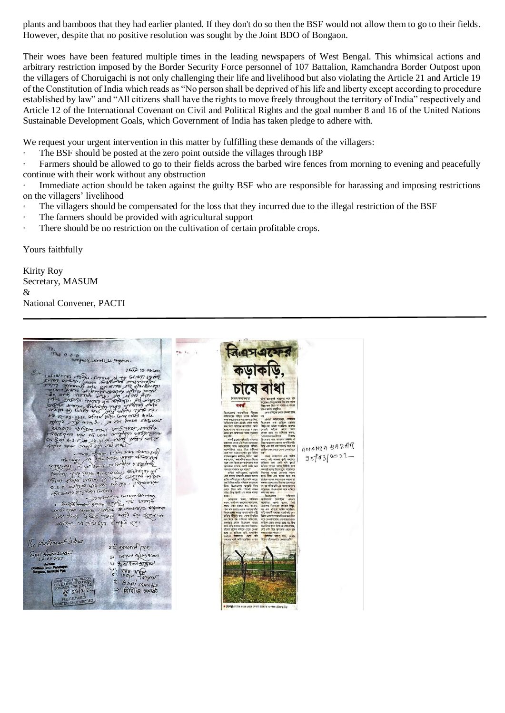plants and bamboos that they had earlier planted. If they don't do so then the BSF would not allow them to go to their fields. However, despite that no positive resolution was sought by the Joint BDO of Bongaon.

Their woes have been featured multiple times in the leading newspapers of West Bengal. This whimsical actions and arbitrary restriction imposed by the Border Security Force personnel of 107 Battalion, Ramchandra Border Outpost upon the villagers of Choruigachi is not only challenging their life and livelihood but also violating the Article 21 and Article 19 of the Constitution of India which reads as "No person shall be deprived of his life and liberty except according to procedure established by law" and "All citizens shall have the rights to move freely throughout the territory of India" respectively and Article 12 of the International Covenant on Civil and Political Rights and the goal number 8 and 16 of the United Nations Sustainable Development Goals, which Government of India has taken pledge to adhere with.

We request your urgent intervention in this matter by fulfilling these demands of the villagers:

The BSF should be posted at the zero point outside the villages through IBP

· Farmers should be allowed to go to their fields across the barbed wire fences from morning to evening and peacefully continue with their work without any obstruction

Immediate action should be taken against the guilty BSF who are responsible for harassing and imposing restrictions on the villagers' livelihood

- The villagers should be compensated for the loss that they incurred due to the illegal restriction of the BSF
- The farmers should be provided with agricultural support
- There should be no restriction on the cultivation of certain profitable crops.

Yours faithfully

Kirity Roy Secretary, MASUM & National Convener, PACTI